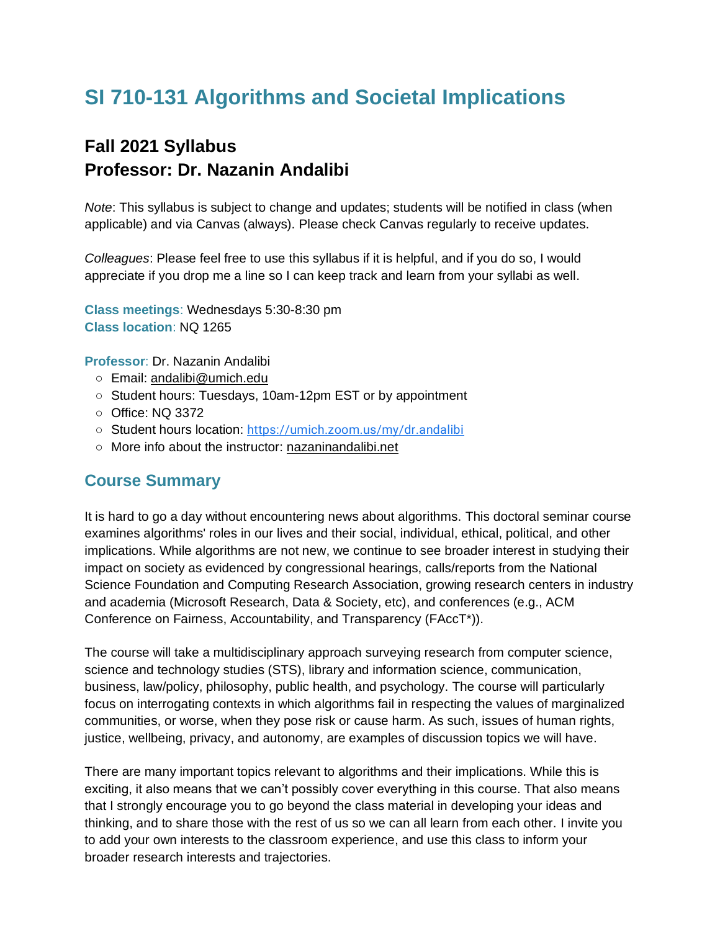# **SI 710-131 Algorithms and Societal Implications**

## **Fall 2021 Syllabus Professor: Dr. Nazanin Andalibi**

*Note*: This syllabus is subject to change and updates; students will be notified in class (when applicable) and via Canvas (always). Please check Canvas regularly to receive updates.

*Colleagues*: Please feel free to use this syllabus if it is helpful, and if you do so, I would appreciate if you drop me a line so I can keep track and learn from your syllabi as well.

**Class meetings**: Wednesdays 5:30-8:30 pm **Class location**: NQ 1265

**Professor**: Dr. Nazanin Andalibi

- Email: [andalibi@umich.edu](mailto:andalibi@umich.edu)
- Student hours: Tuesdays, 10am-12pm EST or by appointment
- Office: NQ 3372
- Student hours location: [https://umich.zoom.us/my/dr.andalibi](https://www.google.com/url?q=https://umich.zoom.us/my/dr.andalibi&sa=D&source=calendar&ust=1629575208389954&usg=AOvVaw2M3RiKq_Jq8ZJ9ErxrmR5q)
- More info about the instructor: [nazaninandalibi.net](http://nazaninandalibi.net/)

### **Course Summary**

It is hard to go a day without encountering news about algorithms. This doctoral seminar course examines algorithms' roles in our lives and their social, individual, ethical, political, and other implications. While algorithms are not new, we continue to see broader interest in studying their impact on society as evidenced by congressional hearings, calls/reports from the National Science Foundation and Computing Research Association, growing research centers in industry and academia (Microsoft Research, Data & Society, etc), and conferences (e.g., ACM Conference on Fairness, Accountability, and Transparency (FAccT\*)).

The course will take a multidisciplinary approach surveying research from computer science, science and technology studies (STS), library and information science, communication, business, law/policy, philosophy, public health, and psychology. The course will particularly focus on interrogating contexts in which algorithms fail in respecting the values of marginalized communities, or worse, when they pose risk or cause harm. As such, issues of human rights, justice, wellbeing, privacy, and autonomy, are examples of discussion topics we will have.

There are many important topics relevant to algorithms and their implications. While this is exciting, it also means that we can't possibly cover everything in this course. That also means that I strongly encourage you to go beyond the class material in developing your ideas and thinking, and to share those with the rest of us so we can all learn from each other. I invite you to add your own interests to the classroom experience, and use this class to inform your broader research interests and trajectories.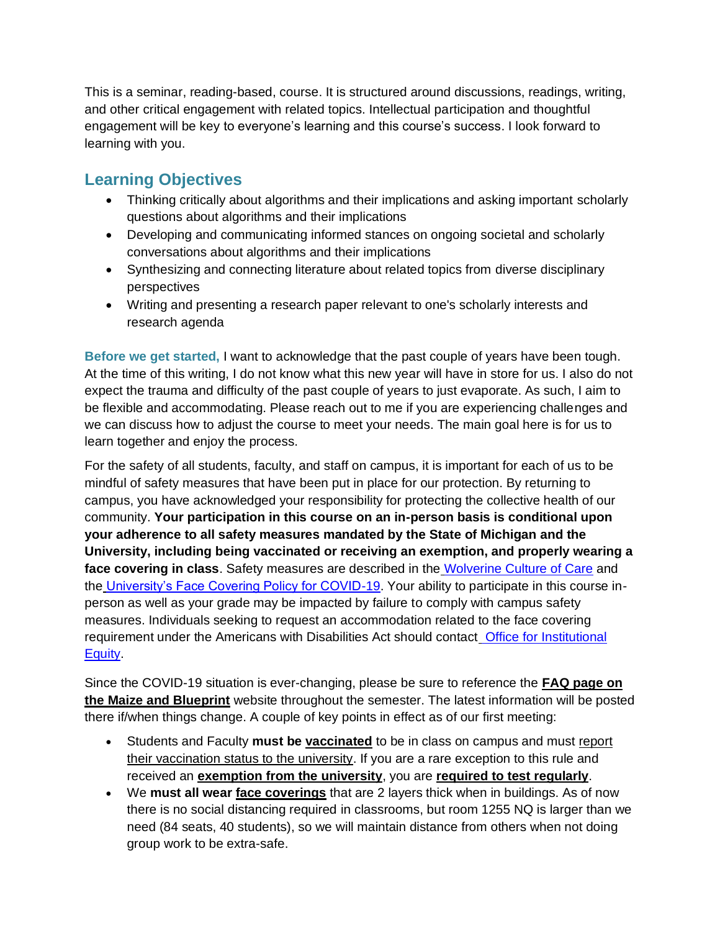This is a seminar, reading-based, course. It is structured around discussions, readings, writing, and other critical engagement with related topics. Intellectual participation and thoughtful engagement will be key to everyone's learning and this course's success. I look forward to learning with you.

## **Learning Objectives**

- Thinking critically about algorithms and their implications and asking important scholarly questions about algorithms and their implications
- Developing and communicating informed stances on ongoing societal and scholarly conversations about algorithms and their implications
- Synthesizing and connecting literature about related topics from diverse disciplinary perspectives
- Writing and presenting a research paper relevant to one's scholarly interests and research agenda

**Before we get started,** I want to acknowledge that the past couple of years have been tough. At the time of this writing, I do not know what this new year will have in store for us. I also do not expect the trauma and difficulty of the past couple of years to just evaporate. As such, I aim to be flexible and accommodating. Please reach out to me if you are experiencing challenges and we can discuss how to adjust the course to meet your needs. The main goal here is for us to learn together and enjoy the process.

For the safety of all students, faculty, and staff on campus, it is important for each of us to be mindful of safety measures that have been put in place for our protection. By returning to campus, you have acknowledged your responsibility for protecting the collective health of our community. **Your participation in this course on an in-person basis is conditional upon your adherence to all safety measures mandated by the State of Michigan and the University, including being vaccinated or receiving an exemption, and properly wearing a face covering in class**. Safety measures are described in the [Wolverine Culture of Care](https://campusblueprint.umich.edu/prevention-testing-care/prevention/stop-the-spread/#wolverine-culture-of-care) and the [University's Face Covering Policy for COVID-19.](http://ehs.umich.edu/wp-content/uploads/2020/07/U-M-Face-Covering-Policy-for-COVID-19.pdf) Your ability to participate in this course inperson as well as your grade may be impacted by failure to comply with campus safety measures. Individuals seeking to request an accommodation related to the face covering requirement under the Americans with Disabilities Act should contact [Office for Institutional](https://oie.umich.edu/american-with-disabilities-act-ada/)  [Equity.](https://oie.umich.edu/american-with-disabilities-act-ada/)

Since the COVID-19 situation is ever-changing, please be sure to reference the **[FAQ page on](https://campusblueprint.umich.edu/faqs/)  [the Maize and Blueprint](https://campusblueprint.umich.edu/faqs/)** website throughout the semester. The latest information will be posted there if/when things change. A couple of key points in effect as of our first meeting:

- Students and Faculty **must be [vaccinated](https://campusblueprint.umich.edu/faqs/#vaccination)** to be in class on campus and must [report](https://campusblueprint.umich.edu/vaccine/)  [their vaccination status to the university.](https://campusblueprint.umich.edu/vaccine/) If you are a rare exception to this rule and received an **[exemption from the university](https://campusblueprint.umich.edu/faqs#what-if-ive-already-received-exemption-header)**, you are **[required to test regularly](https://campusblueprint.umich.edu/faqs/#granted-exemption-what-next-header)**.
- We **must all wear [face coverings](https://campusblueprint.umich.edu/faqs/#information-on-required-face-coverings-at-u-m-header)** that are 2 layers thick when in buildings. As of now there is no social distancing required in classrooms, but room 1255 NQ is larger than we need (84 seats, 40 students), so we will maintain distance from others when not doing group work to be extra-safe.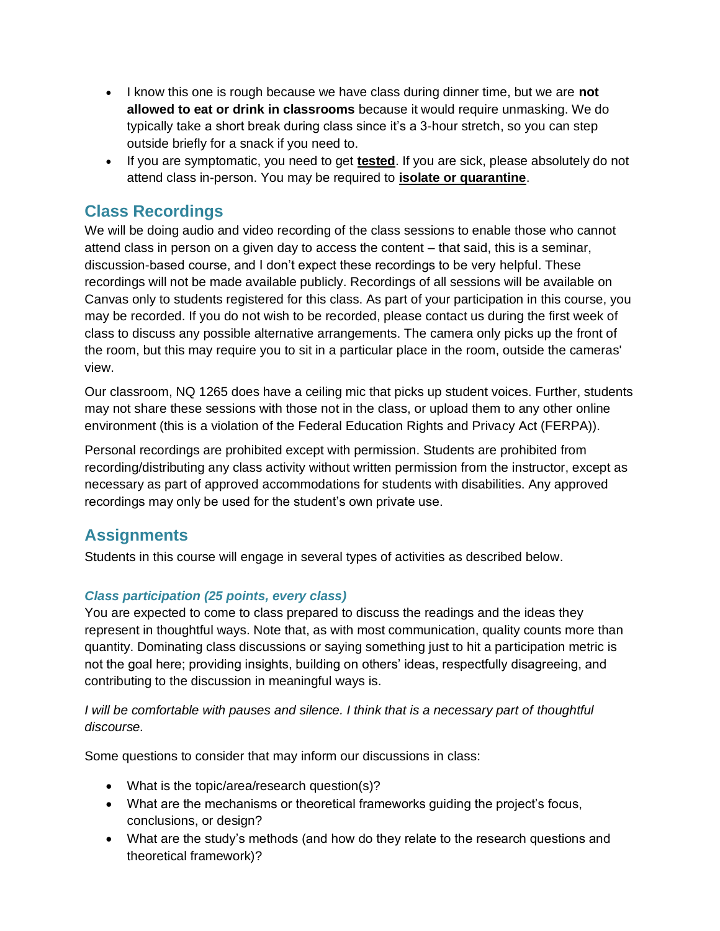- I know this one is rough because we have class during dinner time, but we are **not allowed to eat or drink in classrooms** because it would require unmasking. We do typically take a short break during class since it's a 3-hour stretch, so you can step outside briefly for a snack if you need to.
- If you are symptomatic, you need to get **[tested](https://campusblueprint.umich.edu/faqs#safety-testing)**. If you are sick, please absolutely do not attend class in-person. You may be required to **[isolate or quarantine](https://campusblueprint.umich.edu/faqs#safety-quarantine)**.

### **Class Recordings**

We will be doing audio and video recording of the class sessions to enable those who cannot attend class in person on a given day to access the content – that said, this is a seminar, discussion-based course, and I don't expect these recordings to be very helpful. These recordings will not be made available publicly. Recordings of all sessions will be available on Canvas only to students registered for this class. As part of your participation in this course, you may be recorded. If you do not wish to be recorded, please contact us during the first week of class to discuss any possible alternative arrangements. The camera only picks up the front of the room, but this may require you to sit in a particular place in the room, outside the cameras' view.

Our classroom, NQ 1265 does have a ceiling mic that picks up student voices. Further, students may not share these sessions with those not in the class, or upload them to any other online environment (this is a violation of the Federal Education Rights and Privacy Act (FERPA)).

Personal recordings are prohibited except with permission. Students are prohibited from recording/distributing any class activity without written permission from the instructor, except as necessary as part of approved accommodations for students with disabilities. Any approved recordings may only be used for the student's own private use.

## **Assignments**

Students in this course will engage in several types of activities as described below.

### *Class participation (25 points, every class)*

You are expected to come to class prepared to discuss the readings and the ideas they represent in thoughtful ways. Note that, as with most communication, quality counts more than quantity. Dominating class discussions or saying something just to hit a participation metric is not the goal here; providing insights, building on others' ideas, respectfully disagreeing, and contributing to the discussion in meaningful ways is.

### *I* will be comfortable with pauses and silence. I think that is a necessary part of thoughtful *discourse.*

Some questions to consider that may inform our discussions in class:

- What is the topic/area/research question(s)?
- What are the mechanisms or theoretical frameworks guiding the project's focus, conclusions, or design?
- What are the study's methods (and how do they relate to the research questions and theoretical framework)?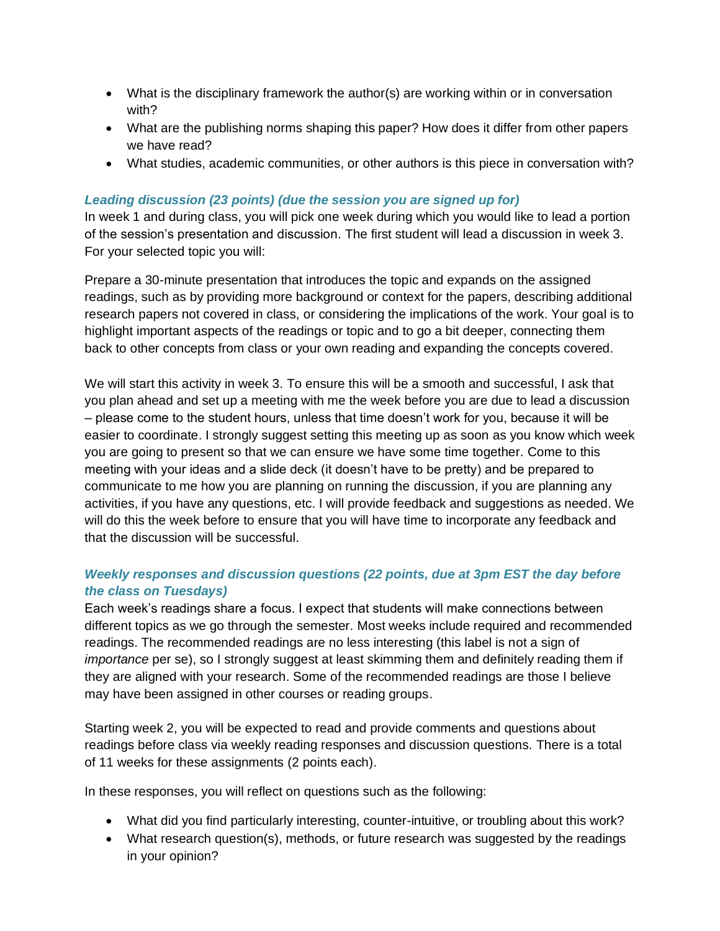- What is the disciplinary framework the author(s) are working within or in conversation with?
- What are the publishing norms shaping this paper? How does it differ from other papers we have read?
- What studies, academic communities, or other authors is this piece in conversation with?

### *Leading discussion (23 points) (due the session you are signed up for)*

In week 1 and during class, you will pick one week during which you would like to lead a portion of the session's presentation and discussion. The first student will lead a discussion in week 3. For your selected topic you will:

Prepare a 30-minute presentation that introduces the topic and expands on the assigned readings, such as by providing more background or context for the papers, describing additional research papers not covered in class, or considering the implications of the work. Your goal is to highlight important aspects of the readings or topic and to go a bit deeper, connecting them back to other concepts from class or your own reading and expanding the concepts covered.

We will start this activity in week 3. To ensure this will be a smooth and successful, I ask that you plan ahead and set up a meeting with me the week before you are due to lead a discussion – please come to the student hours, unless that time doesn't work for you, because it will be easier to coordinate. I strongly suggest setting this meeting up as soon as you know which week you are going to present so that we can ensure we have some time together. Come to this meeting with your ideas and a slide deck (it doesn't have to be pretty) and be prepared to communicate to me how you are planning on running the discussion, if you are planning any activities, if you have any questions, etc. I will provide feedback and suggestions as needed. We will do this the week before to ensure that you will have time to incorporate any feedback and that the discussion will be successful.

### *Weekly responses and discussion questions (22 points, due at 3pm EST the day before the class on Tuesdays)*

Each week's readings share a focus. I expect that students will make connections between different topics as we go through the semester. Most weeks include required and recommended readings. The recommended readings are no less interesting (this label is not a sign of *importance* per se), so I strongly suggest at least skimming them and definitely reading them if they are aligned with your research. Some of the recommended readings are those I believe may have been assigned in other courses or reading groups.

Starting week 2, you will be expected to read and provide comments and questions about readings before class via weekly reading responses and discussion questions. There is a total of 11 weeks for these assignments (2 points each).

In these responses, you will reflect on questions such as the following:

- What did you find particularly interesting, counter-intuitive, or troubling about this work?
- What research question(s), methods, or future research was suggested by the readings in your opinion?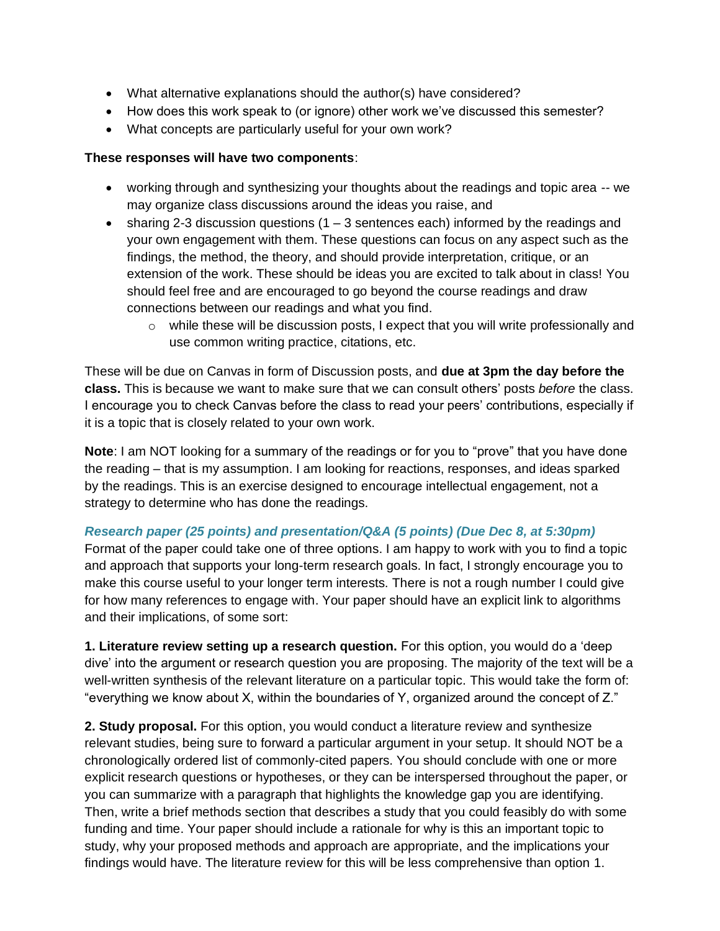- What alternative explanations should the author(s) have considered?
- How does this work speak to (or ignore) other work we've discussed this semester?
- What concepts are particularly useful for your own work?

### **These responses will have two components**:

- working through and synthesizing your thoughts about the readings and topic area -- we may organize class discussions around the ideas you raise, and
- sharing 2-3 discussion questions  $(1 3$  sentences each) informed by the readings and your own engagement with them. These questions can focus on any aspect such as the findings, the method, the theory, and should provide interpretation, critique, or an extension of the work. These should be ideas you are excited to talk about in class! You should feel free and are encouraged to go beyond the course readings and draw connections between our readings and what you find.
	- $\circ$  while these will be discussion posts, I expect that you will write professionally and use common writing practice, citations, etc.

These will be due on Canvas in form of Discussion posts, and **due at 3pm the day before the class.** This is because we want to make sure that we can consult others' posts *before* the class. I encourage you to check Canvas before the class to read your peers' contributions, especially if it is a topic that is closely related to your own work.

**Note**: I am NOT looking for a summary of the readings or for you to "prove" that you have done the reading – that is my assumption. I am looking for reactions, responses, and ideas sparked by the readings. This is an exercise designed to encourage intellectual engagement, not a strategy to determine who has done the readings.

### *Research paper (25 points) and presentation/Q&A (5 points) (Due Dec 8, at 5:30pm)*

Format of the paper could take one of three options. I am happy to work with you to find a topic and approach that supports your long-term research goals. In fact, I strongly encourage you to make this course useful to your longer term interests. There is not a rough number I could give for how many references to engage with. Your paper should have an explicit link to algorithms and their implications, of some sort:

**1. Literature review setting up a research question.** For this option, you would do a 'deep dive' into the argument or research question you are proposing. The majority of the text will be a well-written synthesis of the relevant literature on a particular topic. This would take the form of: "everything we know about X, within the boundaries of Y, organized around the concept of Z."

**2. Study proposal.** For this option, you would conduct a literature review and synthesize relevant studies, being sure to forward a particular argument in your setup. It should NOT be a chronologically ordered list of commonly-cited papers. You should conclude with one or more explicit research questions or hypotheses, or they can be interspersed throughout the paper, or you can summarize with a paragraph that highlights the knowledge gap you are identifying. Then, write a brief methods section that describes a study that you could feasibly do with some funding and time. Your paper should include a rationale for why is this an important topic to study, why your proposed methods and approach are appropriate, and the implications your findings would have. The literature review for this will be less comprehensive than option 1.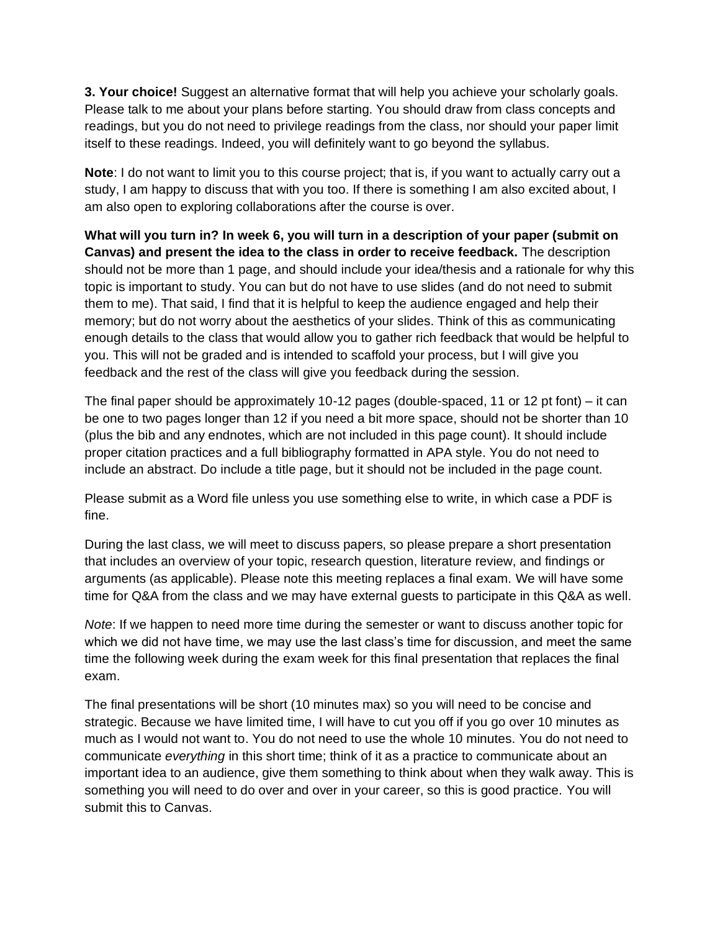**3. Your choice!** Suggest an alternative format that will help you achieve your scholarly goals. Please talk to me about your plans before starting. You should draw from class concepts and readings, but you do not need to privilege readings from the class, nor should your paper limit itself to these readings. Indeed, you will definitely want to go beyond the syllabus.

**Note**: I do not want to limit you to this course project; that is, if you want to actually carry out a study, I am happy to discuss that with you too. If there is something I am also excited about, I am also open to exploring collaborations after the course is over.

**What will you turn in? In week 6, you will turn in a description of your paper (submit on Canvas) and present the idea to the class in order to receive feedback.** The description should not be more than 1 page, and should include your idea/thesis and a rationale for why this topic is important to study. You can but do not have to use slides (and do not need to submit them to me). That said, I find that it is helpful to keep the audience engaged and help their memory; but do not worry about the aesthetics of your slides. Think of this as communicating enough details to the class that would allow you to gather rich feedback that would be helpful to you. This will not be graded and is intended to scaffold your process, but I will give you feedback and the rest of the class will give you feedback during the session.

The final paper should be approximately 10-12 pages (double-spaced, 11 or 12 pt font) – it can be one to two pages longer than 12 if you need a bit more space, should not be shorter than 10 (plus the bib and any endnotes, which are not included in this page count). It should include proper citation practices and a full bibliography formatted in APA style. You do not need to include an abstract. Do include a title page, but it should not be included in the page count.

Please submit as a Word file unless you use something else to write, in which case a PDF is fine.

During the last class, we will meet to discuss papers, so please prepare a short presentation that includes an overview of your topic, research question, literature review, and findings or arguments (as applicable). Please note this meeting replaces a final exam. We will have some time for Q&A from the class and we may have external guests to participate in this Q&A as well.

*Note*: If we happen to need more time during the semester or want to discuss another topic for which we did not have time, we may use the last class's time for discussion, and meet the same time the following week during the exam week for this final presentation that replaces the final exam.

The final presentations will be short (10 minutes max) so you will need to be concise and strategic. Because we have limited time, I will have to cut you off if you go over 10 minutes as much as I would not want to. You do not need to use the whole 10 minutes. You do not need to communicate *everything* in this short time; think of it as a practice to communicate about an important idea to an audience, give them something to think about when they walk away. This is something you will need to do over and over in your career, so this is good practice. You will submit this to Canvas.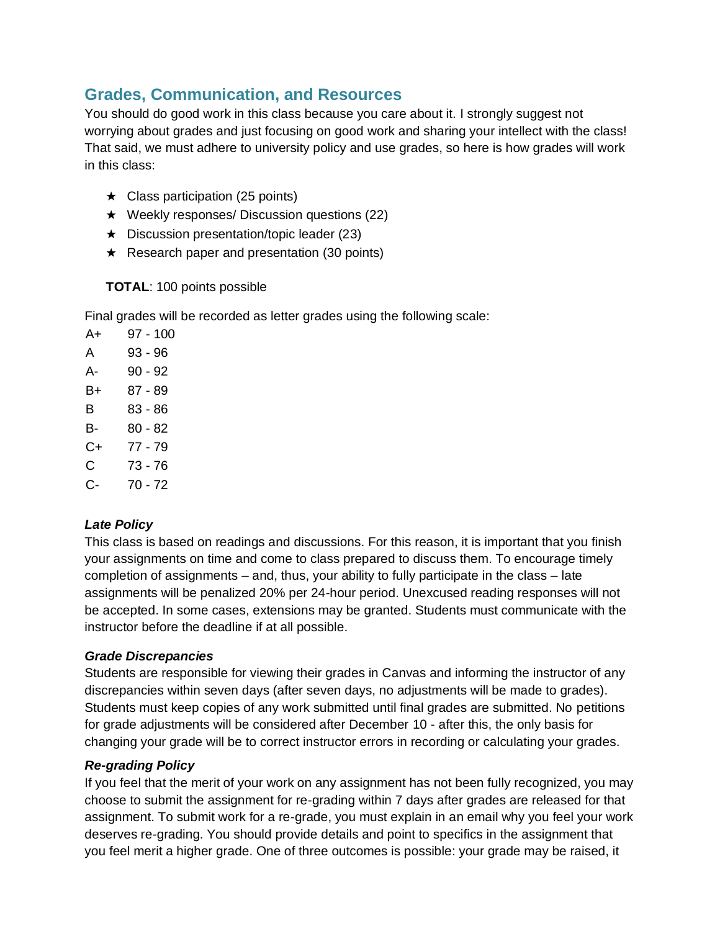## **Grades, Communication, and Resources**

You should do good work in this class because you care about it. I strongly suggest not worrying about grades and just focusing on good work and sharing your intellect with the class! That said, we must adhere to university policy and use grades, so here is how grades will work in this class:

- $\star$  Class participation (25 points)
- ★ Weekly responses/ Discussion questions (22)
- $\star$  Discussion presentation/topic leader (23)
- $\star$  Research paper and presentation (30 points)

### **TOTAL**: 100 points possible

Final grades will be recorded as letter grades using the following scale:

A+ 97 - 100 A 93 - 96 A- 90 - 92 B+ 87 - 89 B 83 - 86 B- 80 - 82 C+ 77 - 79 C 73 - 76 C- 70 - 72

### *Late Policy*

This class is based on readings and discussions. For this reason, it is important that you finish your assignments on time and come to class prepared to discuss them. To encourage timely completion of assignments – and, thus, your ability to fully participate in the class – late assignments will be penalized 20% per 24-hour period. Unexcused reading responses will not be accepted. In some cases, extensions may be granted. Students must communicate with the instructor before the deadline if at all possible.

### *Grade Discrepancies*

Students are responsible for viewing their grades in Canvas and informing the instructor of any discrepancies within seven days (after seven days, no adjustments will be made to grades). Students must keep copies of any work submitted until final grades are submitted. No petitions for grade adjustments will be considered after December 10 - after this, the only basis for changing your grade will be to correct instructor errors in recording or calculating your grades.

### *Re-grading Policy*

If you feel that the merit of your work on any assignment has not been fully recognized, you may choose to submit the assignment for re-grading within 7 days after grades are released for that assignment. To submit work for a re-grade, you must explain in an email why you feel your work deserves re-grading. You should provide details and point to specifics in the assignment that you feel merit a higher grade. One of three outcomes is possible: your grade may be raised, it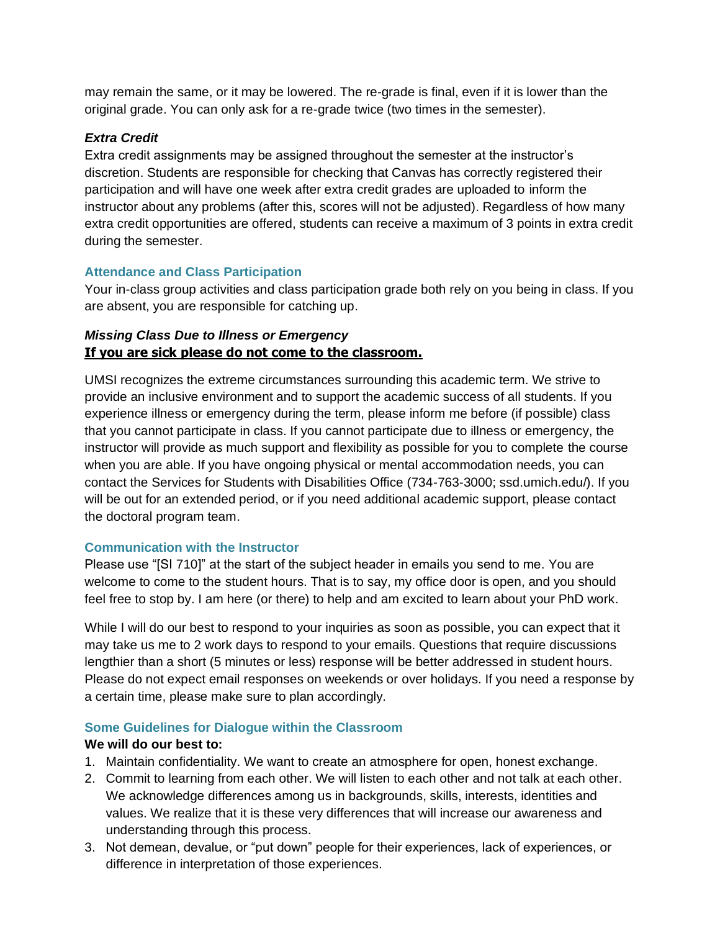may remain the same, or it may be lowered. The re-grade is final, even if it is lower than the original grade. You can only ask for a re-grade twice (two times in the semester).

### *Extra Credit*

Extra credit assignments may be assigned throughout the semester at the instructor's discretion. Students are responsible for checking that Canvas has correctly registered their participation and will have one week after extra credit grades are uploaded to inform the instructor about any problems (after this, scores will not be adjusted). Regardless of how many extra credit opportunities are offered, students can receive a maximum of 3 points in extra credit during the semester.

### **Attendance and Class Participation**

Your in-class group activities and class participation grade both rely on you being in class. If you are absent, you are responsible for catching up.

### *Missing Class Due to Illness or Emergency* **If you are sick please do not come to the classroom.**

UMSI recognizes the extreme circumstances surrounding this academic term. We strive to provide an inclusive environment and to support the academic success of all students. If you experience illness or emergency during the term, please inform me before (if possible) class that you cannot participate in class. If you cannot participate due to illness or emergency, the instructor will provide as much support and flexibility as possible for you to complete the course when you are able. If you have ongoing physical or mental accommodation needs, you can contact the Services for Students with Disabilities Office (734-763-3000; ssd.umich.edu/). If you will be out for an extended period, or if you need additional academic support, please contact the doctoral program team.

### **Communication with the Instructor**

Please use "[SI 710]" at the start of the subject header in emails you send to me. You are welcome to come to the student hours. That is to say, my office door is open, and you should feel free to stop by. I am here (or there) to help and am excited to learn about your PhD work.

While I will do our best to respond to your inquiries as soon as possible, you can expect that it may take us me to 2 work days to respond to your emails. Questions that require discussions lengthier than a short (5 minutes or less) response will be better addressed in student hours. Please do not expect email responses on weekends or over holidays. If you need a response by a certain time, please make sure to plan accordingly.

### **Some Guidelines for Dialogue within the Classroom**

#### **We will do our best to:**

- 1. Maintain confidentiality. We want to create an atmosphere for open, honest exchange.
- 2. Commit to learning from each other. We will listen to each other and not talk at each other. We acknowledge differences among us in backgrounds, skills, interests, identities and values. We realize that it is these very differences that will increase our awareness and understanding through this process.
- 3. Not demean, devalue, or "put down" people for their experiences, lack of experiences, or difference in interpretation of those experiences.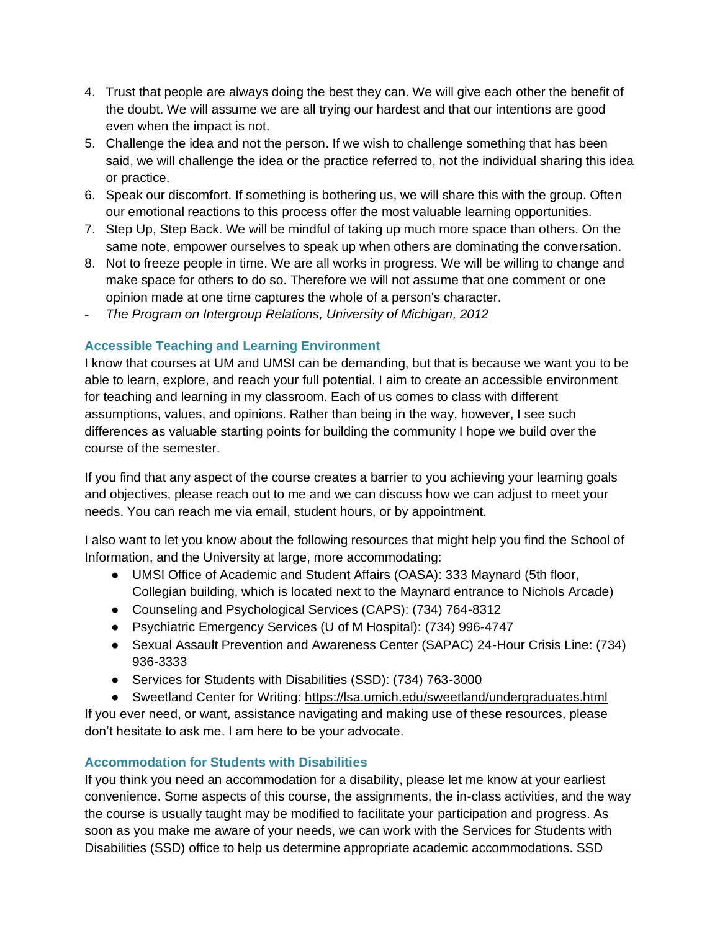- 4. Trust that people are always doing the best they can. We will give each other the benefit of the doubt. We will assume we are all trying our hardest and that our intentions are good even when the impact is not.
- 5. Challenge the idea and not the person. If we wish to challenge something that has been said, we will challenge the idea or the practice referred to, not the individual sharing this idea or practice.
- 6. Speak our discomfort. If something is bothering us, we will share this with the group. Often our emotional reactions to this process offer the most valuable learning opportunities.
- 7. Step Up, Step Back. We will be mindful of taking up much more space than others. On the same note, empower ourselves to speak up when others are dominating the conversation.
- 8. Not to freeze people in time. We are all works in progress. We will be willing to change and make space for others to do so. Therefore we will not assume that one comment or one opinion made at one time captures the whole of a person's character.
- *The Program on Intergroup Relations, University of Michigan, 2012*

### **Accessible Teaching and Learning Environment**

I know that courses at UM and UMSI can be demanding, but that is because we want you to be able to learn, explore, and reach your full potential. I aim to create an accessible environment for teaching and learning in my classroom. Each of us comes to class with different assumptions, values, and opinions. Rather than being in the way, however, I see such differences as valuable starting points for building the community I hope we build over the course of the semester.

If you find that any aspect of the course creates a barrier to you achieving your learning goals and objectives, please reach out to me and we can discuss how we can adjust to meet your needs. You can reach me via email, student hours, or by appointment.

I also want to let you know about the following resources that might help you find the School of Information, and the University at large, more accommodating:

- UMSI Office of Academic and Student Affairs (OASA): 333 Maynard (5th floor, Collegian building, which is located next to the Maynard entrance to Nichols Arcade)
- Counseling and Psychological Services (CAPS): (734) 764-8312
- Psychiatric Emergency Services (U of M Hospital): (734) 996-4747
- Sexual Assault Prevention and Awareness Center (SAPAC) 24-Hour Crisis Line: (734) 936-3333
- Services for Students with Disabilities (SSD): (734) 763-3000
- Sweetland Center for Writing:<https://lsa.umich.edu/sweetland/undergraduates.html>

If you ever need, or want, assistance navigating and making use of these resources, please don't hesitate to ask me. I am here to be your advocate.

### **Accommodation for Students with Disabilities**

If you think you need an accommodation for a disability, please let me know at your earliest convenience. Some aspects of this course, the assignments, the in-class activities, and the way the course is usually taught may be modified to facilitate your participation and progress. As soon as you make me aware of your needs, we can work with the Services for Students with Disabilities (SSD) office to help us determine appropriate academic accommodations. SSD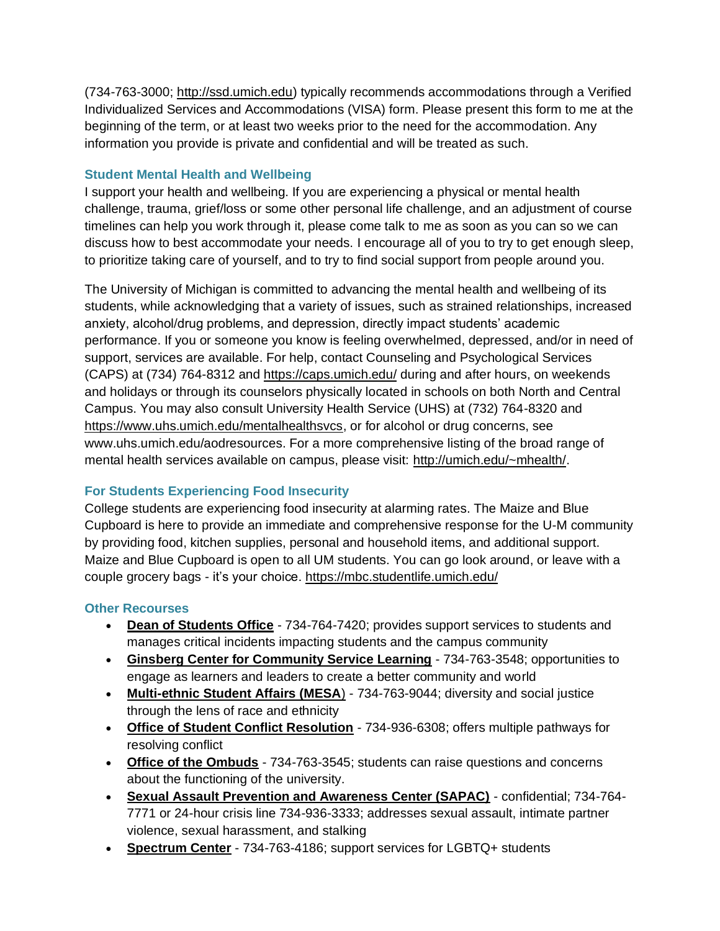(734-763-3000; [http://ssd.umich.edu\)](http://ssd.umich.edu/) typically recommends accommodations through a Verified Individualized Services and Accommodations (VISA) form. Please present this form to me at the beginning of the term, or at least two weeks prior to the need for the accommodation. Any information you provide is private and confidential and will be treated as such.

### **Student Mental Health and Wellbeing**

I support your health and wellbeing. If you are experiencing a physical or mental health challenge, trauma, grief/loss or some other personal life challenge, and an adjustment of course timelines can help you work through it, please come talk to me as soon as you can so we can discuss how to best accommodate your needs. I encourage all of you to try to get enough sleep, to prioritize taking care of yourself, and to try to find social support from people around you.

The University of Michigan is committed to advancing the mental health and wellbeing of its students, while acknowledging that a variety of issues, such as strained relationships, increased anxiety, alcohol/drug problems, and depression, directly impact students' academic performance. If you or someone you know is feeling overwhelmed, depressed, and/or in need of support, services are available. For help, contact Counseling and Psychological Services (CAPS) at (734) 764-8312 and<https://caps.umich.edu/> during and after hours, on weekends and holidays or through its counselors physically located in schools on both North and Central Campus. You may also consult University Health Service (UHS) at (732) 764-8320 and [https://www.uhs.umich.edu/mentalhealthsvcs,](https://www.uhs.umich.edu/mentalhealthsvcs) or for alcohol or drug concerns, see www.uhs.umich.edu/aodresources. For a more comprehensive listing of the broad range of mental health services available on campus, please visit: [http://umich.edu/~mhealth/.](http://umich.edu/~mhealth/)

### **For Students Experiencing Food Insecurity**

College students are experiencing food insecurity at alarming rates. The Maize and Blue Cupboard is here to provide an immediate and comprehensive response for the U-M community by providing food, kitchen supplies, personal and household items, and additional support. Maize and Blue Cupboard is open to all UM students. You can go look around, or leave with a couple grocery bags - it's your choice.<https://mbc.studentlife.umich.edu/>

### **Other Recourses**

- **[Dean of Students Office](https://deanofstudents.umich.edu/)** 734-764-7420; provides support services to students and manages critical incidents impacting students and the campus community
- **[Ginsberg Center for Community Service Learning](https://ginsberg.umich.edu/)** 734-763-3548; opportunities to engage as learners and leaders to create a better community and world
- **[Multi-ethnic Student Affairs \(MESA](https://mesa.umich.edu/)**) 734-763-9044; diversity and social justice through the lens of race and ethnicity
- **[Office of Student Conflict Resolution](https://oscr.umich.edu/)** 734-936-6308; offers multiple pathways for resolving conflict
- **[Office of the Ombuds](https://ombuds.umich.edu/)** 734-763-3545; students can raise questions and concerns about the functioning of the university.
- **[Sexual Assault Prevention and Awareness Center \(SAPAC\)](https://sapac.umich.edu/)** confidential; 734-764- 7771 or 24-hour crisis line 734-936-3333; addresses sexual assault, intimate partner violence, sexual harassment, and stalking
- **[Spectrum Center](https://spectrumcenter.umich.edu/)** 734-763-4186; support services for LGBTQ+ students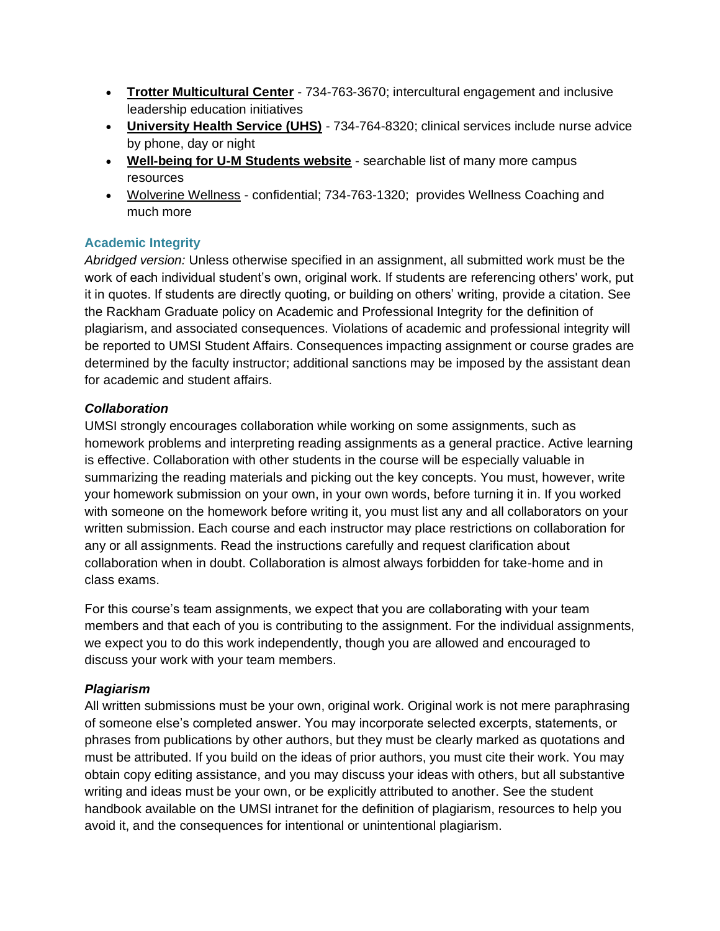- **[Trotter Multicultural Center](https://trotter.umich.edu/)** 734-763-3670; intercultural engagement and inclusive leadership education initiatives
- **[University Health Service \(UHS\)](https://uhs.umich.edu/)** 734-764-8320; clinical services include nurse advice by phone, day or night
- **[Well-being for U-M Students website](https://wellbeing.studentlife.umich.edu/)** searchable list of many more campus resources
- [Wolverine Wellness](https://uhs.umich.edu/wolverine-wellnes) confidential; 734-763-1320; provides Wellness Coaching and much more

### **Academic Integrity**

*Abridged version:* Unless otherwise specified in an assignment, all submitted work must be the work of each individual student's own, original work. If students are referencing others' work, put it in quotes. If students are directly quoting, or building on others' writing, provide a citation. Se[e](https://rackham.umich.edu/academic-policies/section8/) [the Rackham Graduate policy on Academic and Professional Integrity](https://rackham.umich.edu/academic-policies/section8/) for the definition of plagiarism, and associated consequences. Violations of academic and professional integrity will be reported to UMSI Student Affairs. Consequences impacting assignment or course grades are determined by the faculty instructor; additional sanctions may be imposed by the assistant dean for academic and student affairs.

### *Collaboration*

UMSI strongly encourages collaboration while working on some assignments, such as homework problems and interpreting reading assignments as a general practice. Active learning is effective. Collaboration with other students in the course will be especially valuable in summarizing the reading materials and picking out the key concepts. You must, however, write your homework submission on your own, in your own words, before turning it in. If you worked with someone on the homework before writing it, you must list any and all collaborators on your written submission. Each course and each instructor may place restrictions on collaboration for any or all assignments. Read the instructions carefully and request clarification about collaboration when in doubt. Collaboration is almost always forbidden for take-home and in class exams.

For this course's team assignments, we expect that you are collaborating with your team members and that each of you is contributing to the assignment. For the individual assignments, we expect you to do this work independently, though you are allowed and encouraged to discuss your work with your team members.

### *Plagiarism*

All written submissions must be your own, original work. Original work is not mere paraphrasing of someone else's completed answer. You may incorporate selected excerpts, statements, or phrases from publications by other authors, but they must be clearly marked as quotations and must be attributed. If you build on the ideas of prior authors, you must cite their work. You may obtain copy editing assistance, and you may discuss your ideas with others, but all substantive writing and ideas must be your own, or be explicitly attributed to another. See the student handbook available on the UMSI intranet for the definition of plagiarism, resources to help you avoid it, and the consequences for intentional or unintentional plagiarism.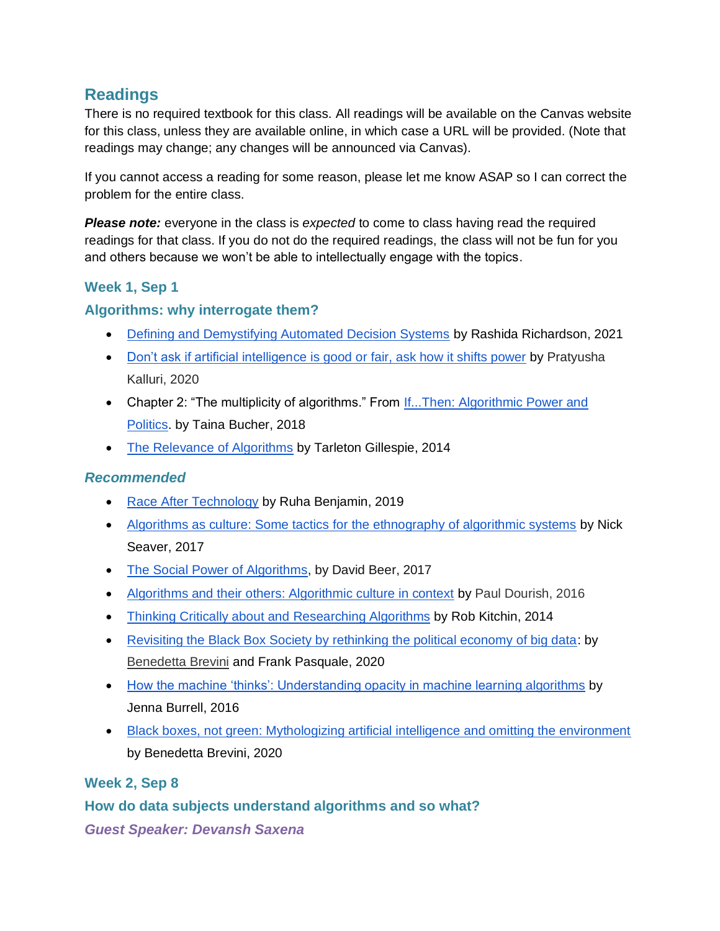## **Readings**

There is no required textbook for this class. All readings will be available on the Canvas website for this class, unless they are available online, in which case a URL will be provided. (Note that readings may change; any changes will be announced via Canvas).

If you cannot access a reading for some reason, please let me know ASAP so I can correct the problem for the entire class.

*Please note:* everyone in the class is *expected* to come to class having read the required readings for that class. If you do not do the required readings, the class will not be fun for you and others because we won't be able to intellectually engage with the topics.

### **Week 1, Sep 1**

### **Algorithms: why interrogate them?**

- [Defining and Demystifying Automated Decision Systems](https://papers.ssrn.com/sol3/papers.cfm?abstract_id=3811708) by Rashida Richardson, 2021
- [Don't ask if artificial intelligence is good or fair, ask how it shifts power](https://www.nature.com/articles/d41586-020-02003-2) by Pratyusha Kalluri, 2020
- Chapter 2: "The multiplicity of algorithms." From If...Then: Algorithmic Power and [Politics.](https://ebookcentral-proquest-com.proxy.lib.umich.edu/lib/umichigan/reader.action?docID=5401028&ppg=30) by Taina Bucher, 2018
- [The Relevance of Algorithms](https://www.microsoft.com/en-us/research/wp-content/uploads/2014/01/Gillespie_2014_The-Relevance-of-Algorithms.pdf) by Tarleton Gillespie, 2014

### *Recommended*

- [Race After Technology](https://aas.princeton.edu/news/databite-no124-race-after-technology-ruha-benjamin) by Ruha Benjamin, 2019
- [Algorithms as culture: Some tactics for the ethnography of algorithmic systems](https://journals.sagepub.com/doi/full/10.1177/2053951717738104) by Nick Seaver, 2017
- [The Social Power of Algorithms,](https://www.tandfonline.com/doi/full/10.1080/1369118X.2016.1216147) by David Beer, 2017
- [Algorithms and their others: Algorithmic culture in context](https://journals.sagepub.com/doi/full/10.1177/2053951716665128) by Paul Dourish, 2016
- [Thinking Critically about and Researching Algorithms](http://www.futuredata.io.s3-website-us-west-2.amazonaws.com/classes/cs345s/handouts/kitchin.pdf) by Rob Kitchin, 2014
- [Revisiting the Black Box Society by rethinking the political economy of big data:](https://journals.sagepub.com/doi/full/10.1177/2053951720935146) by [Benedetta Brevini](https://journals.sagepub.com/action/doSearch?target=default&ContribAuthorStored=Brevini%2C+Benedetta) and Frank Pasquale, 2020
- [How the machine 'thinks': Understanding opacity in machine learning algorithms](https://journals.sagepub.com/doi/pdf/10.1177/2053951715622512) by Jenna Burrell, 2016
- [Black boxes, not green: Mythologizing artificial intelligence and omitting the environment](https://journals.sagepub.com/doi/10.1177/2053951720935141?icid=int.sj-full-text.similar-articles.1) by Benedetta Brevini, 2020

### **Week 2, Sep 8**

**How do data subjects understand algorithms and so what?** *Guest Speaker: Devansh Saxena*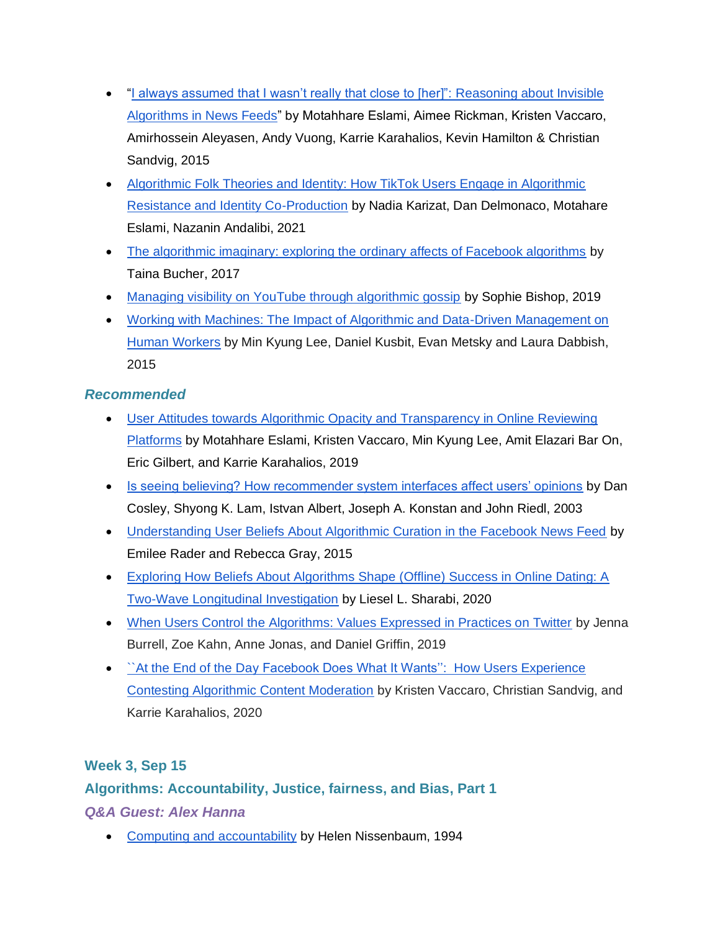- "I always assumed that I wasn't really that close to [her]": Reasoning about Invisible [Algorithms in News Feeds"](https://dl.acm.org/doi/10.1145/2702123.2702556) by Motahhare Eslami, Aimee Rickman, Kristen Vaccaro, Amirhossein Aleyasen, Andy Vuong, Karrie Karahalios, Kevin Hamilton & Christian Sandvig, 2015
- [Algorithmic Folk Theories and Identity: How TikTok Users Engage in Algorithmic](https://36175816-b1c8-4184-b335-d7049652e1fb.filesusr.com/ugd/63b293_c66b88f9fab74314b9403c37d1c9ad84.pdf)  [Resistance and Identity Co-Production](https://36175816-b1c8-4184-b335-d7049652e1fb.filesusr.com/ugd/63b293_c66b88f9fab74314b9403c37d1c9ad84.pdf) by Nadia Karizat, Dan Delmonaco, Motahare Eslami, Nazanin Andalibi, 2021
- [The algorithmic imaginary: exploring the ordinary affects of Facebook algorithms](http://www.tandfonline.com/doi/full/10.1080/1369118X.2016.1154086) by Taina Bucher, 2017
- [Managing visibility on YouTube through algorithmic gossip](https://journals.sagepub.com/doi/abs/10.1177/1461444819854731?journalCode=nmsa) by Sophie Bishop, 2019
- [Working with Machines: The Impact of Algorithmic and Data-Driven Management on](https://dl.acm.org/doi/10.1145/2702123.2702548)  [Human Workers](https://dl.acm.org/doi/10.1145/2702123.2702548) by Min Kyung Lee, Daniel Kusbit, Evan Metsky and Laura Dabbish, 2015

- [User Attitudes towards Algorithmic Opacity and Transparency in Online Reviewing](https://dl.acm.org/doi/10.1145/3290605.3300724)  [Platforms](https://dl.acm.org/doi/10.1145/3290605.3300724) by Motahhare Eslami, Kristen Vaccaro, Min Kyung Lee, Amit Elazari Bar On, Eric Gilbert, and Karrie Karahalios, 2019
- [Is seeing believing? How recommender system interfaces affect users' opinions](https://dl.acm.org/doi/10.1145/642611.642713) by Dan Cosley, Shyong K. Lam, Istvan Albert, Joseph A. Konstan and John Riedl, 2003
- [Understanding User Beliefs About Algorithmic Curation in the Facebook News Feed](https://dl.acm.org/doi/10.1145/2702123.2702174) by Emilee Rader and Rebecca Gray, 2015
- [Exploring How Beliefs About Algorithms Shape \(Offline\) Success in Online Dating: A](https://journals.sagepub.com/doi/abs/10.1177/0093650219896936?journalCode=crxa)  [Two-Wave Longitudinal Investigation](https://journals.sagepub.com/doi/abs/10.1177/0093650219896936?journalCode=crxa) by Liesel L. Sharabi, 2020
- [When Users Control the Algorithms: Values Expressed in Practices on Twitter](https://dl.acm.org/doi/10.1145/3359240) by Jenna Burrell, Zoe Kahn, Anne Jonas, and Daniel Griffin, 2019
- `At the End of the Day Facebook Does What It Wants": How Users Experience [Contesting Algorithmic Content Moderation](https://dl.acm.org/doi/10.1145/3415238) by Kristen Vaccaro, Christian Sandvig, and Karrie Karahalios, 2020

### **Week 3, Sep 15**

# **Algorithms: Accountability, Justice, fairness, and Bias, Part 1** *Q&A Guest: Alex Hanna*

• [Computing and accountability](https://doi.org/10.1145/175222.175228) by Helen Nissenbaum, 1994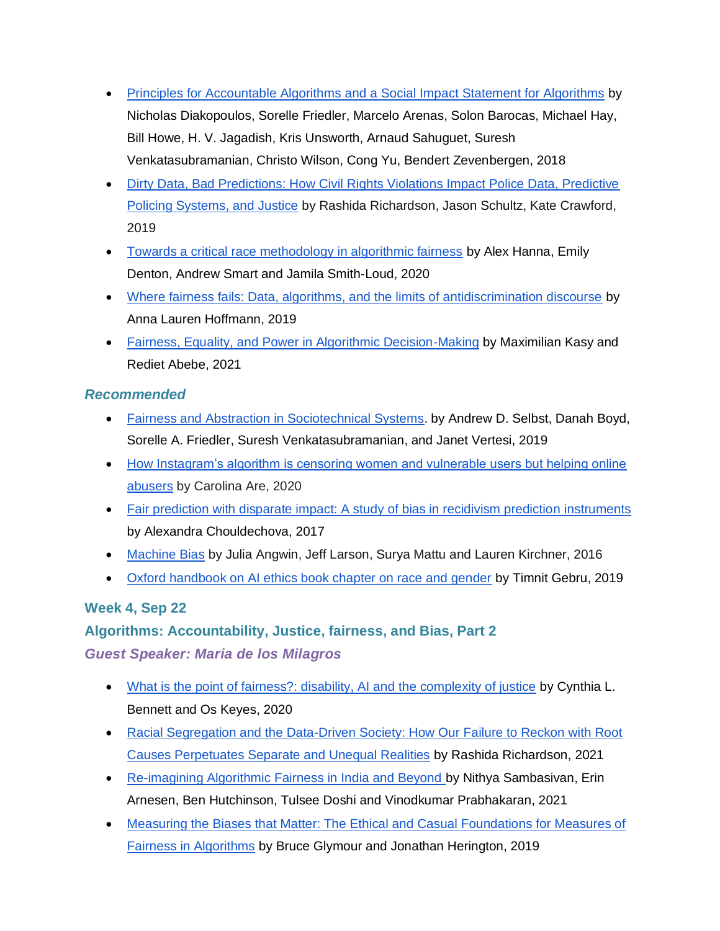- [Principles for Accountable Algorithms and a Social Impact Statement for Algorithms](https://www.fatml.org/resources/principles-for-accountable-algorithms) by Nicholas Diakopoulos, Sorelle Friedler, Marcelo Arenas, Solon Barocas, Michael Hay, Bill Howe, H. V. Jagadish, Kris Unsworth, Arnaud Sahuguet, Suresh Venkatasubramanian, Christo Wilson, Cong Yu, Bendert Zevenbergen, 2018
- Dirty Data, Bad Predictions: How Civil Rights Violations Impact Police Data, Predictive [Policing Systems, and Justice](https://papers.ssrn.com/sol3/papers.cfm?abstract_id=3333423) by Rashida Richardson, Jason Schultz, Kate Crawford, 2019
- [Towards a critical race methodology in algorithmic fairness](https://dl.acm.org/doi/10.1145/3351095.3372826) by Alex Hanna, Emily Denton, Andrew Smart and Jamila Smith-Loud, 2020
- [Where fairness fails: Data, algorithms, and the limits of antidiscrimination discourse](https://www.tandfonline.com/doi/abs/10.1080/1369118X.2019.1573912?journalCode=rics20) by Anna Lauren Hoffmann, 2019
- [Fairness, Equality, and Power in Algorithmic Decision-Making](https://dl.acm.org/doi/abs/10.1145/3442188.3445919) by Maximilian Kasy and Rediet Abebe, 2021

- Fairness and [Abstraction in Sociotechnical Systems.](https://dl.acm.org/doi/10.1145/3287560.3287598) by Andrew D. Selbst, Danah Boyd, Sorelle A. Friedler, Suresh Venkatasubramanian, and Janet Vertesi, 2019
- How Instagram's algorithm is censoring women and vulnerable users but helping online [abusers](https://www.tandfonline.com/doi/abs/10.1080/14680777.2020.1783805?journalCode=rfms20) by Carolina Are, 2020
- [Fair prediction with disparate impact: A study of bias in recidivism prediction instruments](https://www.liebertpub.com/doi/abs/10.1089/big.2016.0047) by Alexandra Chouldechova, 2017
- [Machine Bias](https://www.propublica.org/article/machine-bias-risk-assessments-in-criminal-sentencing) by Julia Angwin, Jeff Larson, Surya Mattu and Lauren Kirchner, 2016
- [Oxford handbook on AI ethics book chapter on race and gender](https://arxiv.org/abs/1908.06165) by Timnit Gebru, 2019

### **Week 4, Sep 22**

# **Algorithms: Accountability, Justice, fairness, and Bias, Part 2**

### *Guest Speaker: Maria de los Milagros*

- [What is the point of fairness?: disability, AI and the complexity of justice](https://dl.acm.org/doi/abs/10.1145/3386296.3386301) by Cynthia L. Bennett and Os Keyes, 2020
- [Racial Segregation and the Data-Driven Society: How Our Failure to Reckon with Root](https://papers.ssrn.com/sol3/papers.cfm?abstract_id=3850317)  [Causes Perpetuates Separate and Unequal Realities](https://papers.ssrn.com/sol3/papers.cfm?abstract_id=3850317) by Rashida Richardson, 2021
- [Re-imagining Algorithmic Fairness in India and Beyond b](https://dl.acm.org/doi/10.1145/3442188.3445896)y Nithya Sambasivan, Erin Arnesen, Ben Hutchinson, Tulsee Doshi and Vinodkumar Prabhakaran, 2021
- [Measuring the Biases that Matter: The Ethical and Casual Foundations for Measures of](https://dl.acm.org/doi/10.1145/3287560.3287573)  [Fairness in Algorithms](https://dl.acm.org/doi/10.1145/3287560.3287573) by Bruce Glymour and Jonathan Herington, 2019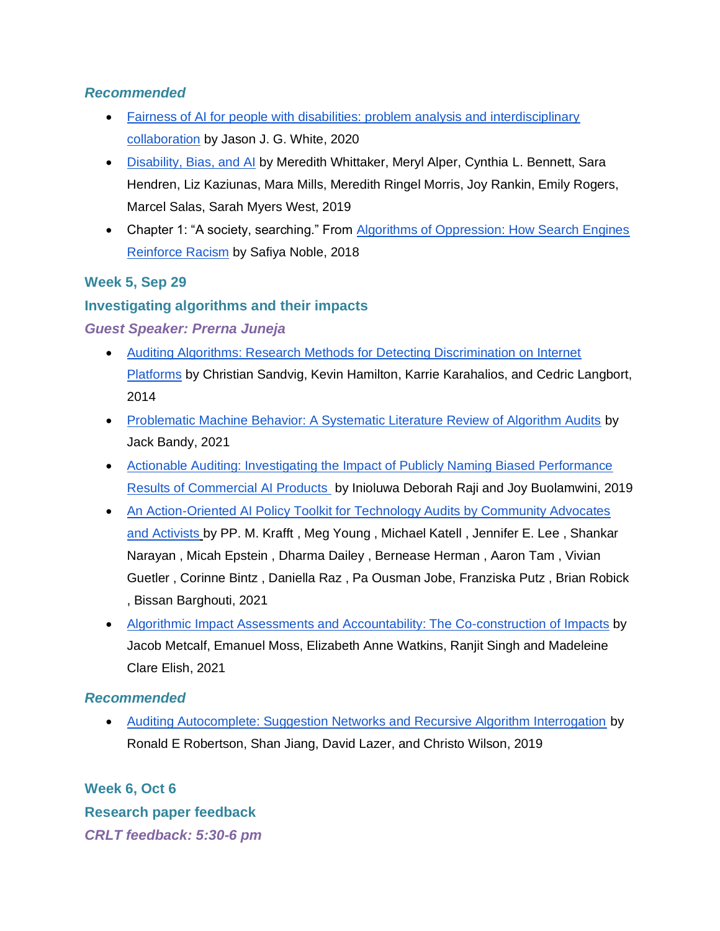- [Fairness of AI for people with disabilities: problem analysis and interdisciplinary](https://dl.acm.org/doi/10.1145/3386296.3386299)  [collaboration](https://dl.acm.org/doi/10.1145/3386296.3386299) by Jason J. G. White, 2020
- [Disability, Bias, and AI](https://ainowinstitute.org/disabilitybiasai-2019.pdf) by Meredith Whittaker, Meryl Alper, Cynthia L. Bennett, Sara Hendren, Liz Kaziunas, Mara Mills, Meredith Ringel Morris, Joy Rankin, Emily Rogers, Marcel Salas, Sarah Myers West, 2019
- Chapter 1: "A society, searching." From [Algorithms of Oppression: How Search Engines](https://ebookcentral-proquest-com.proxy.lib.umich.edu/lib/umichigan/reader.action?docID=4834260&ppg=32)  [Reinforce Racism](https://ebookcentral-proquest-com.proxy.lib.umich.edu/lib/umichigan/reader.action?docID=4834260&ppg=32) by Safiya Noble, 2018

### **Week 5, Sep 29**

### **Investigating algorithms and their impacts**

*Guest Speaker: Prerna Juneja* 

- [Auditing Algorithms: Research Methods for Detecting Discrimination on Internet](http://www-personal.umich.edu/~csandvig/research/Auditing%20Algorithms%20--%20Sandvig%20--%20ICA%202014%20Data%20and%20Discrimination%20Preconference.pdf)  [Platforms](http://www-personal.umich.edu/~csandvig/research/Auditing%20Algorithms%20--%20Sandvig%20--%20ICA%202014%20Data%20and%20Discrimination%20Preconference.pdf) by Christian Sandvig, Kevin Hamilton, Karrie Karahalios, and Cedric Langbort, 2014
- [Problematic Machine Behavior: A Systematic Literature Review of Algorithm Audits](https://dl.acm.org/doi/abs/10.1145/3449148) by Jack Bandy, 2021
- [Actionable Auditing: Investigating the Impact of Publicly Naming Biased Performance](https://dam-prod.media.mit.edu/x/2019/01/24/AIES-19_paper_223.pdf)  [Results of Commercial AI Products](https://dam-prod.media.mit.edu/x/2019/01/24/AIES-19_paper_223.pdf) by Inioluwa Deborah Raji and Joy Buolamwini, 2019
- An Action-Oriented AI Policy Toolkit for Technology Audits by Community Advocates [and Activists](https://dl.acm.org/doi/10.1145/3442188.3445938) by PP. M. Krafft , Meg Young , Michael Katell , Jennifer E. Lee , Shankar Narayan , Micah Epstein , Dharma Dailey , Bernease Herman , Aaron Tam , Vivian Guetler , Corinne Bintz , Daniella Raz , Pa Ousman Jobe, Franziska Putz , Brian Robick , Bissan Barghouti, 2021
- [Algorithmic Impact Assessments and Accountability: The Co-construction of Impacts](https://dl.acm.org/doi/10.1145/3442188.3445935) by Jacob Metcalf, Emanuel Moss, Elizabeth Anne Watkins, Ranjit Singh and Madeleine Clare Elish, 2021

### *Recommended*

• [Auditing Autocomplete: Suggestion Networks and Recursive Algorithm Interrogation](https://shanjiang.me/publications/websci19_paper.pdf) by Ronald E Robertson, Shan Jiang, David Lazer, and Christo Wilson, 2019

**Week 6, Oct 6 Research paper feedback** *CRLT feedback: 5:30-6 pm*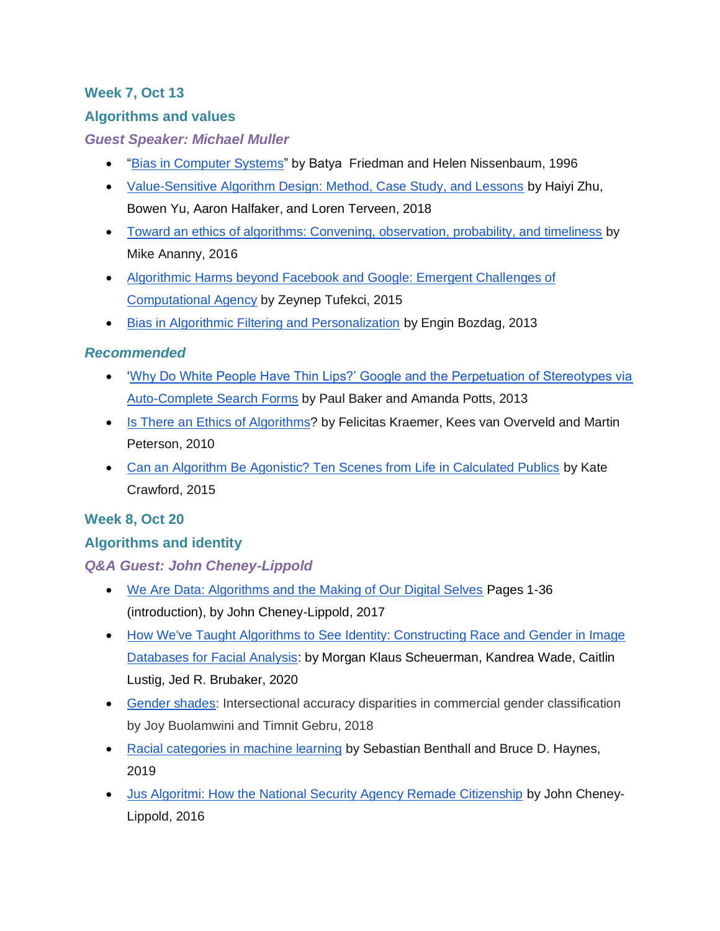### **Week 7, Oct 13**

### **Algorithms and values**

### *Guest Speaker: Michael Muller*

- ["Bias in Computer Systems"](https://dl.acm.org/doi/10.1145/230538.230561) by Batya Friedman and Helen Nissenbaum, 1996
- [Value-Sensitive Algorithm Design: Method, Case Study, and Lessons](https://dl.acm.org/doi/10.1145/3274463) by Haiyi Zhu, Bowen Yu, Aaron Halfaker, and Loren Terveen, 2018
- [Toward an ethics of algorithms: Convening, observation, probability, and timeliness](https://journals.sagepub.com/doi/abs/10.1177/0162243915606523) by Mike Ananny, 2016
- [Algorithmic Harms beyond Facebook and Google: Emergent Challenges of](http://ctlj.colorado.edu/wp-content/uploads/2015/08/Tufekci-final.pdf)  [Computational Agency](http://ctlj.colorado.edu/wp-content/uploads/2015/08/Tufekci-final.pdf) by Zeynep Tufekci, 2015
- [Bias in Algorithmic Filtering and Personalization](https://link.springer.com/article/10.1007/s10676-013-9321-6) by Engin Bozdag, 2013

### *Recommended*

- **Why Do White People Have Thin Lips?' Google and the Perpetuation of Stereotypes via** [Auto-Complete Search Forms](https://www.tandfonline.com/doi/abs/10.1080/17405904.2012.744320) by Paul Baker and Amanda Potts, 2013
- [Is There an Ethics of Algorithms?](https://link.springer.com/article/10.1007/s10676-010-9233-7) by Felicitas Kraemer, Kees van Overveld and Martin Peterson, 2010
- Can [an Algorithm Be Agonistic? Ten Scenes from Life in Calculated Publics](https://journals.sagepub.com/doi/abs/10.1177/0162243915589635) by Kate Crawford, 2015

### **Week 8, Oct 20**

### **Algorithms and identity**

### *Q&A Guest: John Cheney-Lippold*

- [We Are Data: Algorithms and the Making of Our Digital Selves](https://ebookcentral-proquest-com.proxy.lib.umich.edu/lib/umichigan/detail.action?pq-origsite=primo&docID=4717752) Pages 1-36 (introduction), by John Cheney-Lippold, 2017
- How We've Taught Algorithms to See Identity: Constructing Race and Gender in Image [Databases for Facial Analysis:](https://dl.acm.org/doi/abs/10.1145/3392866) by Morgan Klaus Scheuerman, Kandrea Wade, Caitlin Lustig, Jed R. Brubaker, 2020
- [Gender shades:](http://gendershades.org/) Intersectional accuracy disparities in commercial gender classification by Joy Buolamwini and Timnit Gebru, 2018
- [Racial categories in machine learning](https://dl.acm.org/doi/10.1145/3287560.3287575) by Sebastian Benthall and Bruce D. Haynes, 2019
- [Jus Algoritmi: How the National Security Agency Remade Citizenship](https://ijoc.org/index.php/ijoc/article/view/4480/1618) by John Cheney-Lippold, 2016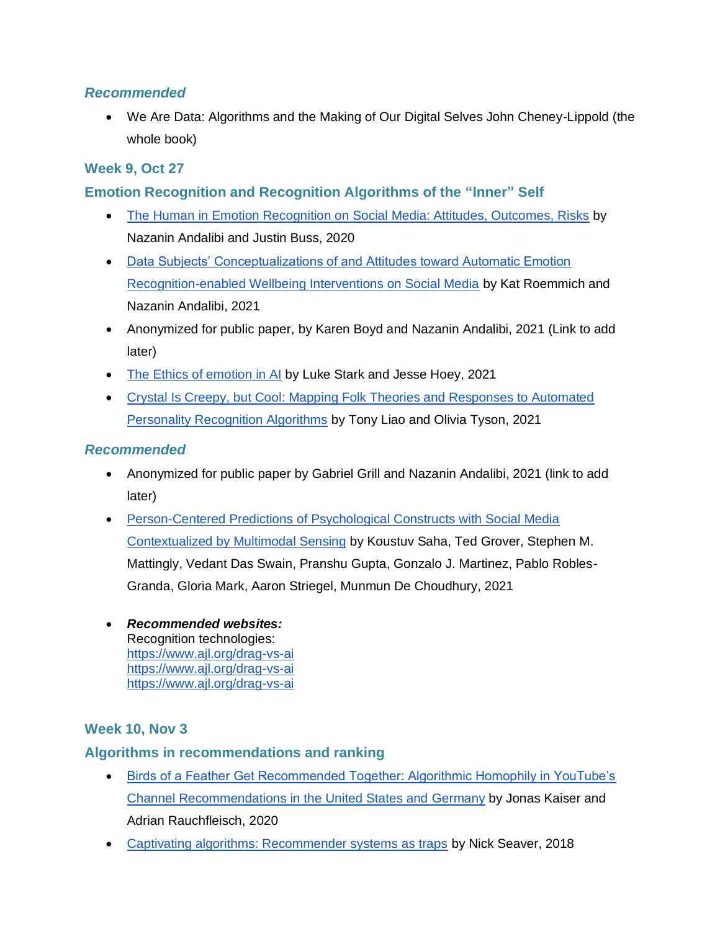• We Are Data: Algorithms and the Making of Our Digital Selves John Cheney-Lippold (the whole book)

### **Week 9, Oct 27**

### **Emotion Recognition and Recognition Algorithms of the "Inner" Self**

- [The Human in Emotion Recognition on Social Media: Attitudes, Outcomes, Risks](https://dl.acm.org/doi/10.1145/3313831.3376680) by Nazanin Andalibi and Justin Buss, 2020
- [Data Subjects' Conceptualizations of and Attitudes toward Automatic Emotion](https://36175816-b1c8-4184-b335-d7049652e1fb.filesusr.com/ugd/63b293_d180da9d2d3741f1b8b8bc41ac7f04e9.pdf)  [Recognition-enabled Wellbeing Interventions on Social Media](https://36175816-b1c8-4184-b335-d7049652e1fb.filesusr.com/ugd/63b293_d180da9d2d3741f1b8b8bc41ac7f04e9.pdf) by Kat Roemmich and Nazanin Andalibi, 2021
- Anonymized for public paper, by Karen Boyd and Nazanin Andalibi, 2021 (Link to add later)
- [The Ethics of emotion in AI](https://dl.acm.org/doi/10.1145/3442188.3445939) by Luke Stark and Jesse Hoey, 2021
- [Crystal Is Creepy, but Cool: Mapping Folk Theories and Responses to Automated](https://journals.sagepub.com/doi/full/10.1177/20563051211010170)  [Personality Recognition Algorithms](https://journals.sagepub.com/doi/full/10.1177/20563051211010170) by Tony Liao and Olivia Tyson, 2021

### *Recommended*

- Anonymized for public paper by Gabriel Grill and Nazanin Andalibi, 2021 (link to add later)
- [Person-Centered Predictions of Psychological Constructs with Social Media](http://www.munmund.net/pubs/IMWUT_PersonCentered.pdf)  [Contextualized by Multimodal Sensing](http://www.munmund.net/pubs/IMWUT_PersonCentered.pdf) by Koustuv Saha, Ted Grover, Stephen M. Mattingly, Vedant Das Swain, Pranshu Gupta, Gonzalo J. Martinez, Pablo Robles-Granda, Gloria Mark, Aaron Striegel, Munmun De Choudhury, 2021
- *Recommended websites:* Recognition technologies: <https://www.ajl.org/drag-vs-ai> <https://www.ajl.org/drag-vs-ai> <https://www.ajl.org/drag-vs-ai>

### **Week 10, Nov 3**

### **Algorithms in recommendations and ranking**

- [Birds of a Feather Get Recommended Together: Algorithmic Homophily in YouTube's](https://journals.sagepub.com/doi/full/10.1177/2056305120969914)  [Channel Recommendations in the United States and Germany](https://journals.sagepub.com/doi/full/10.1177/2056305120969914) by Jonas Kaiser and Adrian Rauchfleisch, 2020
- [Captivating algorithms: Recommender systems as traps](https://journals.sagepub.com/doi/abs/10.1177/1359183518820366) by Nick Seaver, 2018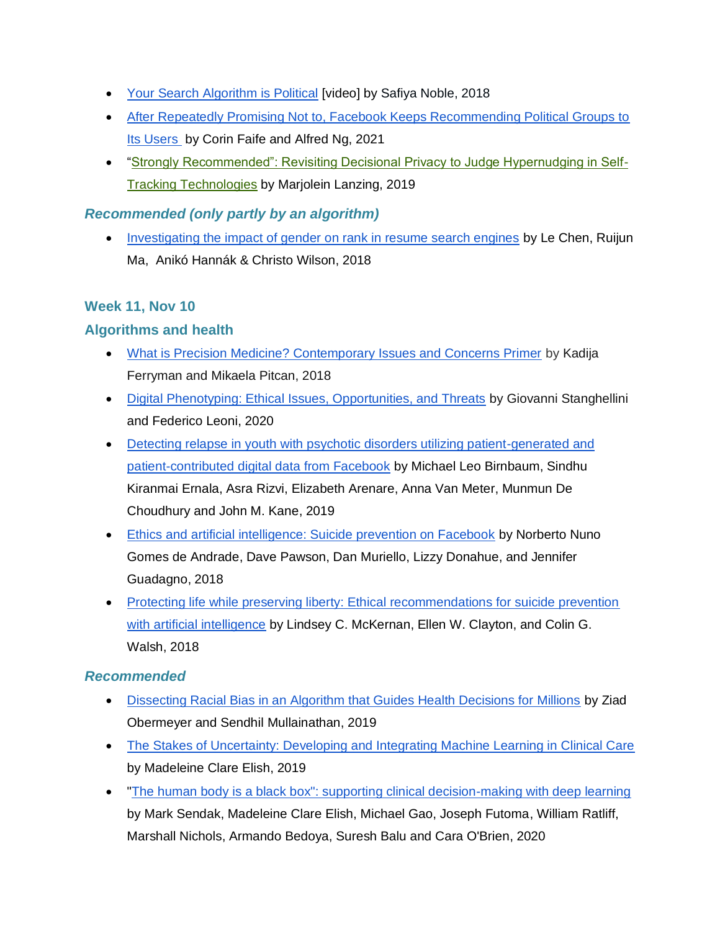- [Your Search Algorithm is Political](https://designlab.ucsd.edu/events/safiya-noble-university-of-southern-california/) [video] by Safiya Noble, 2018
- [After Repeatedly Promising Not to, Facebook Keeps Recommending Political Groups to](https://themarkup.org/citizen-browser/2021/06/24/after-repeatedly-promising-not-to-facebook-keeps-recommending-political-groups-to-its-users)  [Its Users](https://themarkup.org/citizen-browser/2021/06/24/after-repeatedly-promising-not-to-facebook-keeps-recommending-political-groups-to-its-users) by Corin Faife and Alfred Ng, 2021
- ["Strongly Recommended": Revisiting Decisional Privacy to Judge Hypernudging in Self-](https://link.springer.com/article/10.1007/s13347-018-0316-4)[Tracking Technologies](https://link.springer.com/article/10.1007/s13347-018-0316-4) by Marjolein Lanzing, 2019

### *Recommended (only partly by an algorithm)*

• [Investigating the impact of gender on rank in resume search engines](https://dl.acm.org/doi/10.1145/3173574.3174225) by Le Chen, Ruijun Ma, Anikó Hannák & Christo Wilson, 2018

### **Week 11, Nov 10**

### **Algorithms and health**

- [What is Precision Medicine? Contemporary Issues and Concerns Primer](https://datasociety.net/wp-content/uploads/2018/02/DataandSociety_What_Is_Precision_Medicine_Primer_2018.pdf) by Kadija Ferryman and Mikaela Pitcan, 2018
- [Digital Phenotyping: Ethical Issues, Opportunities, and Threats](https://www.frontiersin.org/articles/10.3389/fpsyt.2020.00473/full) by Giovanni Stanghellini and Federico Leoni, 2020
- Detecting relapse in youth with psychotic disorders utilizing patient-generated and [patient-contributed digital data from Facebook](https://www.nature.com/articles/s41537-019-0085-9) by Michael Leo Birnbaum, Sindhu Kiranmai Ernala, Asra Rizvi, Elizabeth Arenare, Anna Van Meter, Munmun De Choudhury and John M. Kane, 2019
- [Ethics and artificial intelligence: Suicide prevention on Facebook](https://doi.org/10.1007/s13347-018-0336-0) by Norberto Nuno Gomes de Andrade, Dave Pawson, Dan Muriello, Lizzy Donahue, and Jennifer Guadagno, 2018
- Protecting life while preserving liberty: Ethical recommendations for suicide prevention [with artificial intelligence](https://www.ncbi.nlm.nih.gov/pmc/articles/PMC6287030/) by Lindsey C. McKernan, Ellen W. Clayton, and Colin G. Walsh, 2018

### *Recommended*

- [Dissecting Racial Bias in an Algorithm that Guides Health Decisions for Millions](https://dl.acm.org/doi/10.1145/3287560.3287593) by Ziad Obermeyer and Sendhil Mullainathan, 2019
- [The Stakes of Uncertainty: Developing and Integrating Machine Learning in Clinical Care](https://papers.ssrn.com/sol3/papers.cfm?abstract_id=3324571) by Madeleine Clare Elish, 2019
- The human body is a black box": supporting clinical decision-making with deep learning by Mark Sendak, Madeleine Clare Elish, Michael Gao, Joseph Futoma, William Ratliff, Marshall Nichols, Armando Bedoya, Suresh Balu and Cara O'Brien, 2020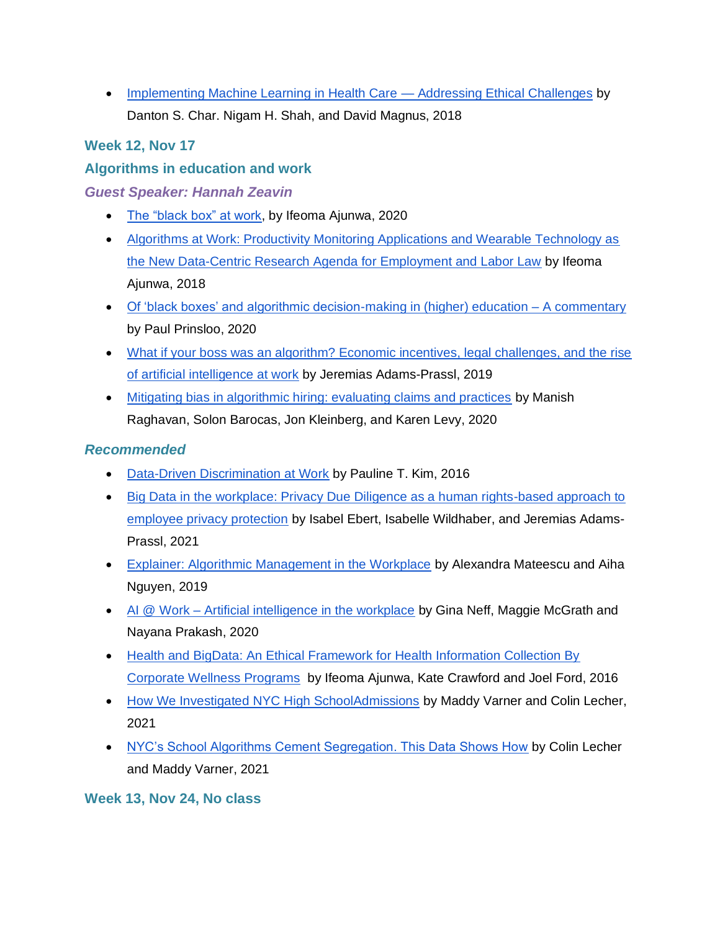• [Implementing Machine Learning in Health Care —](https://www.ncbi.nlm.nih.gov/pmc/articles/PMC5962261/) Addressing Ethical Challenges by Danton S. Char. Nigam H. Shah, and David Magnus, 2018

### **Week 12, Nov 17**

### **Algorithms in education and work**

### *Guest Speaker: Hannah Zeavin*

- [The "black box" at work,](https://journals.sagepub.com/doi/10.1177/2053951720938093?icid=int.sj-full-text.similar-articles.1) by Ifeoma Ajunwa, 2020
- [Algorithms at Work: Productivity Monitoring Applications and Wearable Technology as](https://papers.ssrn.com/sol3/papers.cfm?abstract_id=3247286)  [the New Data-Centric Research Agenda for Employment and Labor Law](https://papers.ssrn.com/sol3/papers.cfm?abstract_id=3247286) by Ifeoma Ajunwa, 2018
- [Of 'black boxes' and algorithmic decision-making in \(higher\) education –](https://journals.sagepub.com/doi/full/10.1177/2053951720933994) A commentary by Paul Prinsloo, 2020
- [What if your boss was an algorithm? Economic incentives, legal challenges, and the rise](https://papers.ssrn.com/sol3/papers.cfm?abstract_id=3661151)  [of artificial intelligence at work](https://papers.ssrn.com/sol3/papers.cfm?abstract_id=3661151) by Jeremias Adams-Prassl, 2019
- [Mitigating bias in algorithmic hiring: evaluating claims and practices](https://dl.acm.org/doi/abs/10.1145/3351095.3372828) by Manish Raghavan, Solon Barocas, Jon Kleinberg, and Karen Levy, 2020

### *Recommended*

- [Data-Driven Discrimination at Work](https://scholarship.law.wm.edu/wmlr/vol58/iss3/4/) by Pauline T. Kim, 2016
- Big Data in the workplace: Privacy Due Diligence as a human rights-based approach to [employee privacy protection](https://journals.sagepub.com/doi/full/10.1177/20539517211013051) by Isabel Ebert, Isabelle Wildhaber, and Jeremias Adams-Prassl, 2021
- [Explainer: Algorithmic Management in the Workplace](https://datasociety.net/wp-content/uploads/2019/02/DS_Algorithmic_Management_Explainer.pdf) by Alexandra Mateescu and Aiha Nguyen, 2019
- AI @ Work [Artificial intelligence in the workplace](https://cdn.futuresays.org/content/uploads/2020/08/14084038/FS_PDF_GINA_V4.pdf) by Gina Neff, Maggie McGrath and Nayana Prakash, 2020
- Health and BigData: An Ethical Framework for Health Information Collection By [Corporate Wellness Programs](https://papers.ssrn.com/sol3/papers.cfm?abstract_id=2837797) by Ifeoma Ajunwa, Kate Crawford and Joel Ford, 2016
- [How We Investigated NYC High SchoolAdmissions](https://themarkup.org/show-your-work/2021/05/26/how-we-investigated-nyc-high-school-admissions) by Maddy Varner and Colin Lecher, 2021
- [NYC's School Algorithms Cement Segregation. This Data Shows How](https://themarkup.org/news/2021/05/26/nycs-school-algorithms-cement-segregation-this-data-shows-how) by Colin Lecher and Maddy Varner, 2021

### **Week 13, Nov 24, No class**